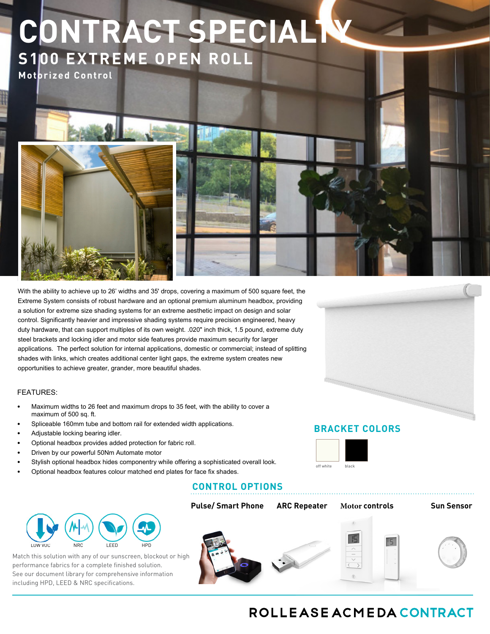# **CONTRACT SPECIALTY S100 EXTREME OPEN ROLL**

**Motorized Control** 

With the ability to achieve up to 26' widths and 35' drops, covering a maximum of 500 square feet, the Extreme System consists of robust hardware and an optional premium aluminum headbox, providing a solution for extreme size shading systems for an extreme aesthetic impact on design and solar control. Significantly heavier and impressive shading systems require precision engineered, heavy duty hardware, that can support multiples of its own weight. .020" inch thick, 1.5 pound, extreme duty steel brackets and locking idler and motor side features provide maximum security for larger applications. The perfect solution for internal applications, domestic or commercial; instead of splitting shades with links, which creates additional center light gaps, the extreme system creates new opportunities to achieve greater, grander, more beautiful shades.

### FEATURES:

LOW VOC

- Maximum widths to 26 feet and maximum drops to 35 feet, with the ability to cover a maximum of 500 sq. ft.
- Spliceable 160mm tube and bottom rail for extended width applications.
- Adjustable locking bearing idler.
- Optional headbox provides added protection for fabric roll.
- Driven by our powerful 50Nm Automate motor
- Stylish optional headbox hides componentry while offering a sophisticated overall look.
- Optional headbox features colour matched end plates for face fix shades.

# **CONTROL OPTIONS**



# **BRACKET COLORS**





# ROLLEASE ACMEDA CONTRACT